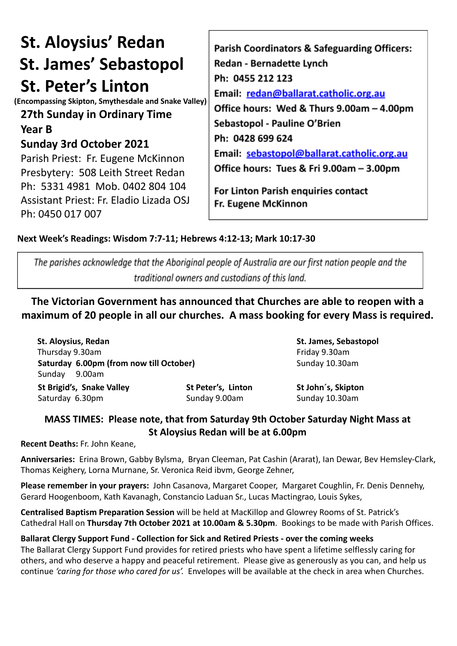# **St. Aloysius' Redan St. James' Sebastopol St. Peter's Linton**

**(Encompassing Skipton, Smythesdale and Snake Valley)**

# **27th Sunday in Ordinary Time**

**Year B**

## **Sunday 3rd October 2021**

Parish Priest: Fr. Eugene McKinnon Presbytery: 508 Leith Street Redan Ph: 5331 4981 Mob. 0402 804 104 Assistant Priest: Fr. Eladio Lizada OSJ Ph: 0450 017 007

Parish Coordinators & Safeguarding Officers: **Redan - Bernadette Lynch** Ph: 0455 212 123 Email: redan@ballarat.catholic.org.au Office hours: Wed & Thurs 9.00am - 4.00pm Sebastopol - Pauline O'Brien Ph: 0428 699 624 Email: sebastopol@ballarat.catholic.org.au Office hours: Tues & Fri 9.00am - 3.00pm

For Linton Parish enquiries contact Fr. Eugene McKinnon

### **Next Week's Readings: Wisdom 7:7-11; Hebrews 4:12-13; Mark 10:17-30**

The parishes acknowledge that the Aboriginal people of Australia are our first nation people and the traditional owners and custodians of this land.

**The Victorian Government has announced that Churches are able to reopen with a maximum of 20 people in all our churches. A mass booking for every Mass is required.**

**St. Aloysius, Redan St. James, Sebastopol** Thursday 9.30am Friday 9.30am **Saturday 6.00pm (from now till October)** Sunday 10.30am Sunday 9.00am **St Brigid's, Snake Valley St Peter's, Linton St John´s, Skipton**

Saturday 6.30pm Sunday 9.00am Sunday 9.00am

## **MASS TIMES: Please note, that from Saturday 9th October Saturday Night Mass at St Aloysius Redan will be at 6.00pm**

**Recent Deaths:** Fr. John Keane,

**Anniversaries:** Erina Brown, Gabby Bylsma, Bryan Cleeman, Pat Cashin (Ararat), Ian Dewar, Bev Hemsley-Clark, Thomas Keighery, Lorna Murnane, Sr. Veronica Reid ibvm, George Zehner,

**Please remember in your prayers:** John Casanova, Margaret Cooper, Margaret Coughlin, Fr. Denis Dennehy, Gerard Hoogenboom, Kath Kavanagh, Constancio Laduan Sr., Lucas Mactingrao, Louis Sykes,

**Centralised Baptism Preparation Session** will be held at MacKillop and Glowrey Rooms of St. Patrick's Cathedral Hall on **Thursday 7th October 2021 at 10.00am & 5.30pm**. Bookings to be made with Parish Offices.

### **Ballarat Clergy Support Fund - Collection for Sick and Retired Priests - over the coming weeks**

The Ballarat Clergy Support Fund provides for retired priests who have spent a lifetime selflessly caring for others, and who deserve a happy and peaceful retirement. Please give as generously as you can, and help us continue *'caring for those who cared for us'.* Envelopes will be available at the check in area when Churches.